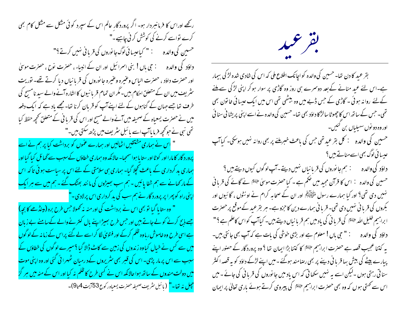رکھے اوراس کا فرمانسردار ہو۔ اگر پرورد گار عالم اس کے سپرد کوئی مشکل سے مشکل کام بھی کرے تواسے کرنے کی کوشش کر ٹی چاہیے۔" حسین کی والدہ ہے میں ایک اعیسانی لوگ جانوروں کی قربانی نہیں کرتے ؟" اور حصرت داؤد ، حصرت الباس وعنیره وعنیره جانوروں کی قربانیاں دیا کرتے تھے۔ نوریت ینٹر پف میں ان کے متعلق احکام بیں۔مگر ان تمام قر یا نیوں کا اشارہ آنے والے سید نامسح کی طرف تھا جسے حہان کے گناہوں کے لئے اپنے آپ کو قربان کرنا تھا۔ مجھے باد ہے کہ ایک دفعہ میں نے حصرت یسعیاہ کے صحیفہ میں آنے والے مسح اور اس کی قریا فی کے متعلق تحجیہ حفظ کیا تھی نبی نے حوکچھ فرمایاآپ اسے بائبل سٹریف میں پڑھ سکتی ہیں۔" " <mark>اس نے ہماری مشتقیں اٹھالیں اور ہمارے عموں کو برداشت کیا پر ہم نے اسے</mark> پرور د گار کا مارا اور کوٹا اور ستا یا ہوا سمجا- حالانکہ وہ ہمار ی خطاؤں کےسبب سے گھائل کیا گیا اور <mark>سماری بد کرداری کے باعث کچلا گیا۔ ہماری ہی سلامتی کے لئے اس پر سیاست ہوئی تا کہ اس</mark> کے مارکھانے سے ہم شفا پائیں - ہم سب بھیڑوں کی مانند بھٹک گئے ۔ ہم میں سے ہر ایک اپنی راہ کو پھرا پر پرورد گار نے ہم سب کی بد کرداری اس پرلادی -" " " وہ ستایا گیا تو بھی اس نے برداشت کی اور منہ نہ تھولا *جس طرح* برہ (مینڈھے کا بچہ) جسے ذبح کرنے کو لے جاتے ہیں اور حس طرح بھیڑاپنے مال ک<del>نتر نے والے کے سامنے بے</del> زبان ہے اسی طرح وہ خاموش رباوہ ظلم کرکے اور فتویٰ لگا کر اسے لے گئے پراس کے زمانہ کے لو گوں میں سے کس نے خیال کیاوہ زندوں کی زمین سے کاٹ ڈالا گیا ؟ میرے لوگوں کی خطاؤں کے <mark>سبب سے اس پر مار پڑی۔ اس کی قسر بھی سٹریروں کےد رمبان ٹھہرا ئی گئی اور وہ اپنی موت</mark> میں دولت *مند*وں کے ساتھ ہوا حالانکہ اس نے کسی طرح کا ظلم نہ کیا اور اس کے منہ میں ہر گز <mark>حچیل نه تھا۔"</mark> (بائبل *مثر*یف صحیفہ حصرت یسعیاہ رکوع<sup>4</sup>53 <sub>ی</sub>ت 4<sub>تا</sub>9)۔



بقر عبید کا دن تھا۔ حسین کی والدہ کو اچانک اطلاع ملی کہ اس کی شادی شدہ لڑکی بیمار ہے۔اس لئے عید منانے کے بعد دوسرے ہی روز وہ گاڑی پر سوار ہو کر اپنی لڑکی سے ملنے کےلئے روانہ ہوئی ۔ گاڑی کے حس ڈبے میں وہ بیٹھی تھی اس میں ایک عیسائی خانون بھی تھی۔ جس کے ساتھ اس کا چھوٹا سالڑ کا داؤد بھی تھا۔ حسین کی والدہ نے اسے اپنی پریشا نی سنا ئی اور وہ دو نوں سہیلیاں بن کئیں۔ حسین کی والدہ : کل بقر عید تھی جس کی باعث خبر ملنے پر بھی روانہ نہیں ہوسکی۔ کیا آپ<br>عیسائی لوگ بھی اسےمناتے ہیں؟ داؤد کی والدہ ہے لیے ہم جا نوروں کی قربانیاں نہیں دیتے۔آپ لوگوں کیوں دیتے ہیں ؟ حسین کی والدہ : اس کا قرآن مجید میں صحم ہے ۔ کیا حصرت موسیٰ علیَّتہ نے کائے کی قربانی نہیں دی تھی؟ اور کیا ہمارے رسول ستھلیکھ اور ان کے صحابہ کرام نے اونٹوں ، گا ئیوں اور بکروں کی قربانی نہیں دی تھی۔ قربانی ہمارے دین کا حزو ہے۔ ہر بقرعید کے موقع پر حصرت ا براہیم خلیل <sub>الٹیر</sub> الٹار اللہ اللہ علیقات کی یاد میں ہم قربا نیاں دیتے ہیں۔ کیا آپ کواس کاعلم ہے ؟ " یہ کتنا عجیب قصہ ہے حصرت ابراہیم ﷺ کا کتنا بڑا ایمان تھا ؟ وہ پرورد گار کے حصور اپنے پبارے بیٹے کی بیش بہا قریا فی دینے پر بھی رصامند ہوگئے۔میں اپنے لڑکے داؤد کو یہ قصہ اکثر سنا تی رہتی ہوں ۔لیکن اسے یہ نہیں سکھا تی کہ اس باد میں جانوروں کی قریا ٹی کی جائے ۔میں اس سے ٹھتی ہوں کہ وہ بھی حصرت ابراہیم ﷺ کی پیروی کرتے ہوئے باری تعالیٰ پر ایمان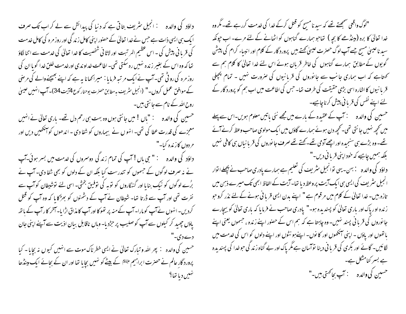داؤد کی والدہ : انجیل سٹریف بتاتی ہے کہ دنیا کی پیدائش سے لے کر اب تک صرف ا یک سی ایسی ذات ہے جس نے خدا تعالیٰ کے حصنور اپنی کامل زند گی اور روز مر ہ کی کامل خدمت کی قریا ٹی پیش کی ۔ اس عظیم المر تبت اور لاثا فی شخصیت کا خدا تعالیٰ کی خدمت سے اتنا لگاؤ تھا کہ وہ اس کے بغیر زندہ نہیں رہ سکتی تھی۔اطاعت خداوندی اورخدمت خلق خدا گویا ان کی روز مرہ کی رو ٹی تھی۔آپ نے ایک مر تیبہ فرمایا : میرانحانا بہ ہے کہ اپنے بھیجنے والے کی مرضی کے موافق عمل کروں۔" (انجیل سٹریف بہ مطابق حصرت یوحنار کوع4آیت34)۔آپ انہیں عیسیٰ روح الٹیر کے نام سے جا نتی بیں۔ حسین کی والدہ ہے : "باں! میں جانتی ہوں وہ بہت ہی رحم دل تھے۔ باری تعالیٰ نے انہیں معجزے کی قدرت عطا کی تھی۔ انہوں نے بیماروں کو شفا دی ۔ اندھوں کو آنکھیں دیں اور مر دوں کا زندہ کیا۔"

داؤد کی والدہ " " جی باں ! آپ کی تمام زند گی دوسمروں کی خدمت میں بسر ہوئی۔آپ نے نہ صرف لوگوں کے جسموں کو تندرست کیا بلکہ ان کے دلوں کو بھی شفا دی۔ آپ نے بڑے لوگوں کو نیک بنایا اور گنہگاروں کو توبہ کی توفیق بختی۔ اسی لئے توشیطان کوآپ سے نفرت تھی اور آپ سے ڈرتا تھا۔ شیطان نے آپ کے دشمنوں کو بھڑکا یا کہ وہ آپ کو قتل کردیں۔انہوں نے آپ کو مارا۔ آپ کے منہ پر تھو کا اور آپ کا مذاق اڑا یا۔آخر کا رآپ کے باتھ یاؤں چھید کر کیلوں سے آپ کوصلیب پر حرکریا- وہاں ناقابل بیان اذیت سے آپنے اپنی جان دے دی۔" حسین کی والدہ : پھر اللہ و تبارک تعالیٰ نے ایسی خطر ناک موت سے انہیں کیوں نہ بجایا ۔ کیا پرورد گار عالم نے حصرت ابراہیم ع<sup>لائق</sup>ا کے بیٹے کو نہیں بچایا تھا اور ان کے بجائے ایک مینڈھا ښيں دیا تھا؟

"لوگ واقعی سمجھتے تھے کہ سید نامسیح کو قتل کرکے خدا کی خدمت کررہے تھے۔مگر وہ خدا تعالیٰ کا برہ (مینڈھے کا بچہ ) تھاجو ہمارے گناہوں کو اٹھانے کے لئے مرے۔ اب حپونکہ سید ناعیسیٰ مسیح جسے آپ لوگ حصرت عیسیٰ کھتے ہیں پرورد گار کے کلام اور انبیاء کرام کی پیش گویوں کے مطابق ہمارے گناہوں کی خاطر قربان ہوئے اس لئے خدا تعالیٰ کا کلام ہم سے کھتاہے کہ اب ہماری جانب سے جانوروں کی قرباِنیوں کی صرورت تنہیں ۔ تمام پچپلی قر با نیوں کا اشارہ اسی بڑی حقیقت کی طرف تھا۔ جس کی اطاعت میں اب ہم کو پرورد گار کے لئے اپنے نفس کی قریا فی پیش کرناچاہیے۔

حسین کی والدہ سے بنتے کے عقیدہ کے بارے میں مجھے نئی باتیں معلوم ہویں۔اس سے پہلے میں تحجیہ نہیں جا نتی تھی۔ تحجیہ دن ہوئے ہمارے گاؤں میں ایک مولوی صاحب وعظ کرنے آئے تھے۔ وہ بڑے ہی سنجیدہ اور اچھےآدمی تھے۔ کھتے تھے صرف جانوروں کی قربانیاں ہی کافی نہیں بلکہ ہمیں چاہیے کہ خود اپنی قریا فی دیں۔"

داؤد کی والدہ : بہن- یہی نوانجیل سٹریف کی تعلیم ہے ہمارے پادری صاحب نے پچھلےا توار انجیل سٹریف کی ایسی ہی ایک آیت پروعظ دیا تھا۔آیت کے الفاظ ابھی تک میرے ذہن میں تازہ بیں۔ خدا تعالیٰ کے کلام میں مرقوم ہے " اپنے بدن ایسی قربانی ہونے کے لئے نذر کروجو زندہ اور پاک اور باری تعالیٰ کو پسندیدہ ہو۔" یادری صاحب نے فرمایا کہ باری تعالیٰ کو بیچارے جا نوروں کی قربا ٹی پسند نہیں۔ وہ چاہتا ہے کہ ہم اس کے حصور اپنے زندہ ، حبسموں یعنی اپنے باتھوں اور پاؤں - اپنی آنکھوں اور کا نوں- اپنےہو نٹوں اور اپنے دلوں کو اس کی <sub>خد</sub>مت میں لگائیں۔ گائے اور بکری کی قربانی دینا توآسان ہے مگر پاک اور بے گناہ زند کی حوحدا کی پسندیدہ ہے بسر کنامشکل ہے۔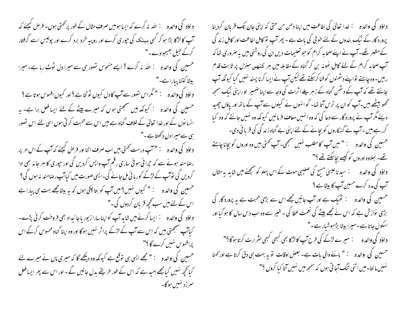داؤد کی والدہ : اللہ نہ کرے کہ ایسا ہومیں صرف مثال کے طور پر ک<sup>ھ</sup>تی ہوں۔ فرص کیچئے کہ آپ کا لڑکا بڑا ہو کر کسی ببینک کی حپوری کرے اور روپبہ خرد برد کرے اور پولیس اسے گرفتار کرکے جبل بھیجوادے۔" حسین کی والدہ : اللہ نہ کرے! ایسے منحوس نصور ہی سے میرا دل ٹوٹ رہا ہے۔ میرا بیٹا کتنا پیارا ہے۔" داؤد کی والدہ : " مگراس تصور سے آپ کا دل کیوں ٹوٹیا ہے ؟ اور کیوں افسوس ہوتا ہے ؟ حسین کی والدہ ۔ : کیونکہ میں سمجھتی ہوں کہ میرے پیٹے کے لئے ایسا فعل برا ہے۔ یہ انسانوں کے اور خدا تعالیٰ کے خلاف گناہ ہے میں اس سے محبت کرتی ہوں اسی لئے اس تصور ہی سے میرا دل دکھتا ہے ۔" داؤد کی والدہ : " آپ درست کھتی ہیں اب صرف اتنا اور فرص کیجئے کہ آپ کے اس امر پر رصا مند ہونے سے کہ حیرانی ہوئی ساری رقم آپ واپس کردیں گی اور حیوری کا ہر جانہ بھی ادا کردیں گی توآپ کے لڑکے کوربا ئی مل جائے گی۔ایسی صورت میں کیاآپ رصامند نہ ہوں گی؟ حسین کی والدہ : " کیوں نہیں؟ میں آپ کو بتا چکی ہوں کہ یہ بیٹامجھے بہت ہی پیارا ہے اس کے لئے میں سب کحچھ قریان کردوں گی۔" کیاآپ سمجھتی بیں کہ اس سے آپ کے لڑکے پراثر نہیں ہوگا اور وہ اپنا گناہ محسوس کرکے اس پرافسوس نہیں کرے گا ؟" حسین کی والدہ : " مجھے ایسی ہی توقع ہے کیونکہ وہ دیکھے گا کہ میری ماں نے میرے لئے کیا تحیحہ نہیں کیامجھے امید ہے کہ اس کے طور طریقے بدل جائیں گے - اور اس سے پھر ایسا فعل سرزد نهيں ہوگا۔

پرورد گار کے نیک بندوں کے لئے خو پی کی بات ہے ۔ پھر آپ نو کامل اطاعت اور کامل زند گی کے مظہر تھے۔ آپ نے اپنے صحابہ کرام کو حبو تعلیمات دیں ان کی روشنی میں یہ صروری تعاکہ آپ صحابہ کرام کے لئے کامل نمونہ بن کر گناہ کے مقابلہ میں ہر کیٹھن منزل پر ثابت قدم رہیں۔وہ چاہتے تواپنےدشمنوں کوفنا کرسکتے تھے لیکن آپ نےایسا کرنا پسند نہیں کیا کیونکہ آپ جانتے تھے کہ آپ کے دستمن گناہ کے زہریلے اثرات کی وجہ سے اپنا ضمیر او راپنی نیک سمجھ تحصو بیٹھے ہیں۔آپ کو ان پر ترس آتا تھا۔ گوانہوں نے کیلوں سے آپ کے ہاتھ اور یاؤں چھید دیئے مگر آپ نے پرورد گار سے دعا کی کہ وہ انہیں معاف فرمائیں کیونکہ وہ نہیں جانتے کہ وہ کیا کررہے ہیں ۔آپ نے گنہگاروں کو بچانے کے لئے اپنی بے گناہ زند گی کی قربا فی دی۔ حسین کی والدہ : " میں آپ کامطلب نہیں سمجھی۔ آپ کھتی بیں وہ اوروں کو بچانا چاہئے تھے۔ سِملاوہ اوروں کو کیسے بچاسکتے تھے ؟" داؤد کی والدہ ہے : سیدنا عیسٰی مسیح کی صلیبی موت کے اس پہلو کوسمجھنے میں شاید یہ مثال حسین کی والدہ ﷺ تھیک ہے اور آپ جانیں مجھے اس سے بڑی محبت ہے یہ پرورد گار کی بڑی نوازش ہے کہ اس نے مجھے بیٹے کی نعمت عطا کی ۔ خیبر سے وہ اب دس سال کا ہو گیا اور اسکول جاتا ہے۔میرا بیٹا بڑاہوشیار ہے۔"<br>داؤد کی والدہ : میرے لڑکے کی طرح آپ کالڑکا بھی کبھی کبھی مثر ارت کرتا ہوگا؟" حسین کی والدہ : " ماننے والی مات ہے۔ بعض اوقات تو بہ بہت ہی دق کرتا ہے اور کھنا نہیں ما نتا۔میں اتنی تنگ آجا تی ہوں کہ سمجھ میں نہیں آتا کیا کروں ؟''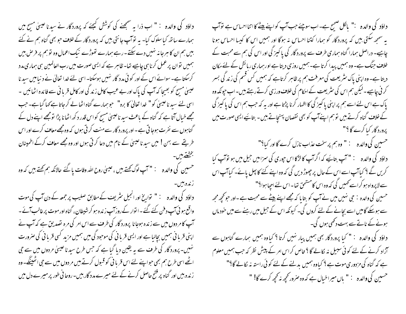داؤد کی والدہ : " اب ذرا یہ سمجھنے کی کوشش کیچئے کہ پرورد گار نے سیدنا عیہیٰ مسح میں ہمارے ساتھ کیا سلوک کیا۔ یہ توآپ جانتی ہیں کہ پرورد گار کے خلاف حو بھی گناہ ہم نے کئے بیں ہم ان کا ہرجا نہ نہیں دے سکتے ۔رہے ہمارے تھوڑے نیک اعمال وہ تو ہم پر فر ص بیں ہمیں نوان پر عمل کرنا ہی چاہیے تھا- ظاہر ہے کہ ایسی صورت میں رب العالمین ہی ہماری مدد کرسکتا ہے۔ سوائے اس کے اور کو ئی مدد گار نہیں ہوسکتا۔ اسی لئے خدا تعالیٰ نے د نیا میں سید نا عیسیٰ مسیح کو بھیجا کہ آپ کی پاک اور بے عیب کامل زند کی اور کامل قریا ٹی سے فائدہ اٹھائیں ۔ اسی لئے سید ناعیسیٰ کو" خدا تعالیٰ کا برہ" حبوبہمارے گناہ اٹھالے کرجاتا ہے کہا گیا ہے۔جب مجھے خیال آتا ہے کہ گناہ کے باعث سید ناعیسیٰ مسح کواس قدر د کھ اٹھانا پڑا تومجھے اپنے دل کے گناہوں سے نفرت ہوجا تی ہے۔اور پرورد گار سے منت کر تی ہوں کہ وہ مجھے معاف کرے اور اس طریقے سے بہن ! میں سید ناعیسیٰ کے نام میں دعا کرتی ہوں اور وہ مجھے معاف کرکے اطمینان بخشتے ہیں۔ حسین کی والدہ " " آپ لوگ کھتے ہیں ، عیسیٰ روح اللہ وفات پا گئے حالانکہ ہم کھتے ہیں کہ وہ زنده بین-داؤد کی والدہ : " تواریخ اور انجیل سٹریف کے مطابق صلیب پر جمعہ کے دن آپ کی موت واقع ہو ئی آپ دفن کئے گئے ۔ ا توار کے روز آپ زندہ ہو کرشیطان ، گناہ اور موت پر غالب آئے ۔ آپ کا مر دوں میں سے زندہ ہوجانا پرورد گار کی طرف سے اس امر کی مرہ تصدیق ہے کہ آپ نے اپنی قربا فی ہمیں بچالیا ہے اور ایسی قربا فی کی موحود گی میں ہمیں مزید کسی قربا فی کی صرورت <sup>من</sup>ہیں۔ پرورد گار کی طر**ف سے یہ یقین دیا گیا ہے کہ جس طرح سید ناعیسیٰ مردوں میں سے جی** اٹھے اسی طرح ہم بھی حواپنے لئے اس قربانی کو قبول کرتے ہیں مر دوں میں سے حی اٹھینگے۔ وہ ز ندہ بیں اور گناہ پر فتیح حاصل کرنے کے لئے میرے مدد گار بیں-روحا نی طور پر میرے دل میں

داؤد کی والدہ ﷺ باکل صحیح ہے۔اب سوچئے جب آپ کواپنے بیٹے کااتنااحساس ہے نوآپ یہ سمجھ سکتی ہیں کہ پرورد گار کو ہمارا کتنا احساس نہ ہوگا اور ہمیں اس کا کیسا احساس ہونا چاہیے۔ دراصل ہمارا گناہ ہماری طرف سے پرورد گار کی پاکیز گی اور اس کی ہم سے محبت کے خلاف جنگ ہے۔ وہ ہمیں پیدا کرتا ہے۔ہمیں روزی دیتا ہے اور ہماری رہائش کے لئے مکان دیتا ہے۔ وہ اپنی پاک سٹریعت کی معرفت ہم پر ظاہر کرتاہے کہ ہمیں کس قسم کی زند گی بسر کر نی چاہیے ۔ لیکن ہم اس کی سٹریعت کے احکام کی خلاف ورزی کرتے رہتے ہیں۔ اب حیونکہ وہ یاک ہے اس لئے اسے ہم پر اپنی یا کمیز گی کا اظہار کرنا پڑتا ہے اور یہ کہ حب ہم اس کی یا کمیز گی کے خلاف گناہ کرتے ہیں توہم اپنے آپ کو بھی نقصان پہنچاتے ہیں - بتائیے ایسی صورت میں پرورد گار کیا کرے گا ؟" حسین کی والدہ : " وہ ہم پرسخت عذاب نازل کرے گا اور کیا؟" داؤد کی والدہ : " آپ بتائیے کہ اگر آپ کالڑکا اس جوری کی سزامیں جیل میں ہو توآپ کیا کریں گے ؟ کیاآپ اسے اس کے حال پر چھوڑ دیں گی کہ وہ اپنے کئے کا پھل پائے۔ کیاآپ اس سے لاپرواہ ہو کراسے کھیں گی کہ وہ اس کامشحق تھا۔اس لئے احھا ہوا؟" حسین کی والدہ ∶ حی نہیں میں نے آپ کو بتا یا کہ مجھے اپنے بیٹے سے محبت ہے۔اور حو کچھ مجھ سے ہوسکے گامیں اسے بچانے کے لئے کروں گی۔ کیونکہ اس کے جیل میں رہنے سے میں خود ماں ہونے کے ناتے سے بہت دکھی ہوں گی۔ داؤد کی والدہ : " کیا پرورد گار بھی ہمیں پیار نہیں کرتا ؟ کیاوہ ہمیں ہمارے گناہوں سے ۔<br>آزاد کرنے کے لئے کوئی سبیل نہ <sub>لگا</sub>لے گا ؟ خاص کراس امر کے پیش نظر کہ جب ہمیں معلوم ہے کہ گناہ کی مزدوری موت ہے ؟ کیاوہ ہمیں بدلنے کے لئے کوئی راستہ نہ لکالے گا؟" حسين كي والده : " باں ميراخبال ہے كہ وہ صرور كحچھ نہ كحچھ كرے گا! "